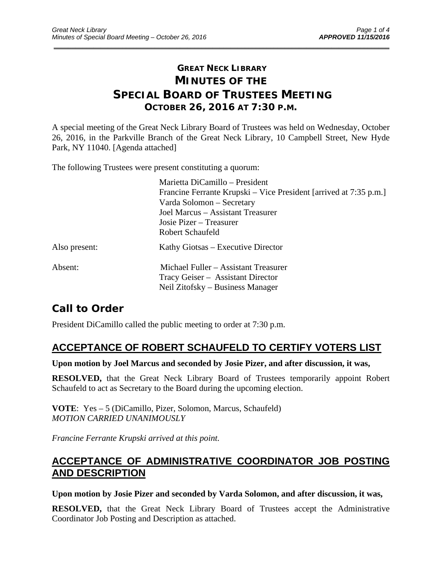# **GREAT NECK LIBRARY MINUTES OF THE SPECIAL BOARD OF TRUSTEES MEETING OCTOBER 26, 2016 AT 7:30 P.M.**

\_\_\_\_\_\_\_\_\_\_\_\_\_\_\_\_\_\_\_\_\_\_\_\_\_\_\_\_\_\_\_\_\_\_\_\_\_\_\_\_\_\_\_\_\_\_\_\_\_\_\_\_\_\_\_\_\_\_\_\_\_\_\_\_\_\_\_\_\_\_\_\_\_\_\_\_\_\_\_\_\_\_\_\_\_\_\_\_\_\_\_\_\_

A special meeting of the Great Neck Library Board of Trustees was held on Wednesday, October 26, 2016, in the Parkville Branch of the Great Neck Library, 10 Campbell Street, New Hyde Park, NY 11040. [Agenda attached]

The following Trustees were present constituting a quorum:

|               | Marietta DiCamillo - President                                    |
|---------------|-------------------------------------------------------------------|
|               | Francine Ferrante Krupski – Vice President [arrived at 7:35 p.m.] |
|               | Varda Solomon – Secretary                                         |
|               | Joel Marcus – Assistant Treasurer                                 |
|               | Josie Pizer – Treasurer                                           |
|               | Robert Schaufeld                                                  |
| Also present: | Kathy Giotsas – Executive Director                                |
| Absent:       | Michael Fuller – Assistant Treasurer                              |
|               | Tracy Geiser - Assistant Director                                 |
|               | Neil Zitofsky – Business Manager                                  |

# **Call to Order**

President DiCamillo called the public meeting to order at 7:30 p.m.

## **ACCEPTANCE OF ROBERT SCHAUFELD TO CERTIFY VOTERS LIST**

**Upon motion by Joel Marcus and seconded by Josie Pizer, and after discussion, it was,** 

**RESOLVED,** that the Great Neck Library Board of Trustees temporarily appoint Robert Schaufeld to act as Secretary to the Board during the upcoming election.

**VOTE**: Yes – 5 (DiCamillo, Pizer, Solomon, Marcus, Schaufeld) *MOTION CARRIED UNANIMOUSLY* 

*Francine Ferrante Krupski arrived at this point.* 

## **ACCEPTANCE OF ADMINISTRATIVE COORDINATOR JOB POSTING AND DESCRIPTION**

**Upon motion by Josie Pizer and seconded by Varda Solomon, and after discussion, it was,** 

**RESOLVED,** that the Great Neck Library Board of Trustees accept the Administrative Coordinator Job Posting and Description as attached.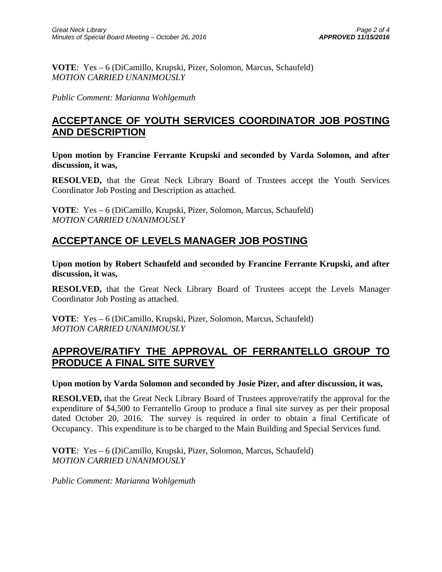**VOTE**: Yes – 6 (DiCamillo, Krupski, Pizer, Solomon, Marcus, Schaufeld) *MOTION CARRIED UNANIMOUSLY* 

*Public Comment: Marianna Wohlgemuth*

### **ACCEPTANCE OF YOUTH SERVICES COORDINATOR JOB POSTING AND DESCRIPTION**

**Upon motion by Francine Ferrante Krupski and seconded by Varda Solomon, and after discussion, it was,** 

**RESOLVED,** that the Great Neck Library Board of Trustees accept the Youth Services Coordinator Job Posting and Description as attached.

**VOTE**: Yes – 6 (DiCamillo, Krupski, Pizer, Solomon, Marcus, Schaufeld) *MOTION CARRIED UNANIMOUSLY* 

## **ACCEPTANCE OF LEVELS MANAGER JOB POSTING**

**Upon motion by Robert Schaufeld and seconded by Francine Ferrante Krupski, and after discussion, it was,** 

**RESOLVED,** that the Great Neck Library Board of Trustees accept the Levels Manager Coordinator Job Posting as attached.

**VOTE**: Yes – 6 (DiCamillo, Krupski, Pizer, Solomon, Marcus, Schaufeld) *MOTION CARRIED UNANIMOUSLY* 

## **APPROVE/RATIFY THE APPROVAL OF FERRANTELLO GROUP TO PRODUCE A FINAL SITE SURVEY**

**Upon motion by Varda Solomon and seconded by Josie Pizer, and after discussion, it was,** 

**RESOLVED,** that the Great Neck Library Board of Trustees approve/ratify the approval for the expenditure of \$4,500 to Ferrantello Group to produce a final site survey as per their proposal dated October 20, 2016. The survey is required in order to obtain a final Certificate of Occupancy. This expenditure is to be charged to the Main Building and Special Services fund.

**VOTE**: Yes – 6 (DiCamillo, Krupski, Pizer, Solomon, Marcus, Schaufeld) *MOTION CARRIED UNANIMOUSLY* 

*Public Comment: Marianna Wohlgemuth*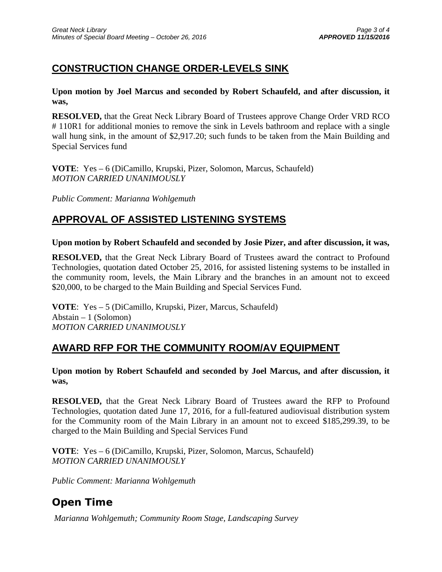# **CONSTRUCTION CHANGE ORDER-LEVELS SINK**

**Upon motion by Joel Marcus and seconded by Robert Schaufeld, and after discussion, it was,** 

**RESOLVED,** that the Great Neck Library Board of Trustees approve Change Order VRD RCO # 110R1 for additional monies to remove the sink in Levels bathroom and replace with a single wall hung sink, in the amount of \$2,917.20; such funds to be taken from the Main Building and Special Services fund

**VOTE**: Yes – 6 (DiCamillo, Krupski, Pizer, Solomon, Marcus, Schaufeld) *MOTION CARRIED UNANIMOUSLY* 

*Public Comment: Marianna Wohlgemuth* 

# **APPROVAL OF ASSISTED LISTENING SYSTEMS**

**Upon motion by Robert Schaufeld and seconded by Josie Pizer, and after discussion, it was,** 

**RESOLVED,** that the Great Neck Library Board of Trustees award the contract to Profound Technologies, quotation dated October 25, 2016, for assisted listening systems to be installed in the community room, levels, the Main Library and the branches in an amount not to exceed \$20,000, to be charged to the Main Building and Special Services Fund.

**VOTE**: Yes – 5 (DiCamillo, Krupski, Pizer, Marcus, Schaufeld) Abstain – 1 (Solomon) *MOTION CARRIED UNANIMOUSLY* 

## **AWARD RFP FOR THE COMMUNITY ROOM/AV EQUIPMENT**

#### **Upon motion by Robert Schaufeld and seconded by Joel Marcus, and after discussion, it was,**

**RESOLVED,** that the Great Neck Library Board of Trustees award the RFP to Profound Technologies, quotation dated June 17, 2016, for a full-featured audiovisual distribution system for the Community room of the Main Library in an amount not to exceed \$185,299.39, to be charged to the Main Building and Special Services Fund

**VOTE**: Yes – 6 (DiCamillo, Krupski, Pizer, Solomon, Marcus, Schaufeld) *MOTION CARRIED UNANIMOUSLY* 

*Public Comment: Marianna Wohlgemuth* 

# **Open Time**

 *Marianna Wohlgemuth; Community Room Stage, Landscaping Survey*